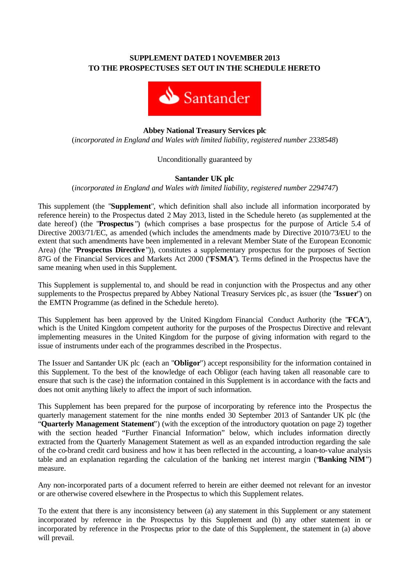# **SUPPLEMENT DATED 1 NOVEMBER 2013 TO THE PROSPECTUSES SET OUT IN THE SCHEDULE HERETO**



## **Abbey National Treasury Services plc**

(*incorporated in England and Wales with limited liability, registered number 2338548*)

## Unconditionally guaranteed by

# **Santander UK plc**

(*incorporated in England and Wales with limited liability, registered number 2294747*)

This supplement (the "**Supplement**", which definition shall also include all information incorporated by reference herein) to the Prospectus dated 2 May 2013, listed in the Schedule hereto (as supplemented at the date hereof) (the "**Prospectus** ") (which comprises a base prospectus for the purpose of Article 5.4 of Directive 2003/71/EC, as amended (which includes the amendments made by Directive 2010/73/EU to the extent that such amendments have been implemented in a relevant Member State of the European Economic Area) (the "**Prospectus Directive** ")), constitutes a supplementary prospectus for the purposes of Section 87G of the Financial Services and Markets Act 2000 ("**FSMA**"). Terms defined in the Prospectus have the same meaning when used in this Supplement.

This Supplement is supplemental to, and should be read in conjunction with the Prospectus and any other supplements to the Prospectus prepared by Abbey National Treasury Services plc, as issuer (the "**Issuer**") on the EMTN Programme (as defined in the Schedule hereto).

This Supplement has been approved by the United Kingdom Financial Conduct Authority (the "**FCA**"), which is the United Kingdom competent authority for the purposes of the Prospectus Directive and relevant implementing measures in the United Kingdom for the purpose of giving information with regard to the issue of instruments under each of the programmes described in the Prospectus.

The Issuer and Santander UK plc (each an "**Obligor**") accept responsibility for the information contained in this Supplement. To the best of the knowledge of each Obligor (each having taken all reasonable care to ensure that such is the case) the information contained in this Supplement is in accordance with the facts and does not omit anything likely to affect the import of such information.

This Supplement has been prepared for the purpose of incorporating by reference into the Prospectus the quarterly management statement for the nine months ended 30 September 2013 of Santander UK plc (the "**Quarterly Management Statement**") (with the exception of the introductory quotation on page 2) together with the section headed "Further Financial Information" below, which includes information directly extracted from the Quarterly Management Statement as well as an expanded introduction regarding the sale of the co-brand credit card business and how it has been reflected in the accounting, a loan-to-value analysis table and an explanation regarding the calculation of the banking net interest margin ("**Banking NIM**") measure.

Any non-incorporated parts of a document referred to herein are either deemed not relevant for an investor or are otherwise covered elsewhere in the Prospectus to which this Supplement relates.

To the extent that there is any inconsistency between (a) any statement in this Supplement or any statement incorporated by reference in the Prospectus by this Supplement and (b) any other statement in or incorporated by reference in the Prospectus prior to the date of this Supplement, the statement in (a) above will prevail.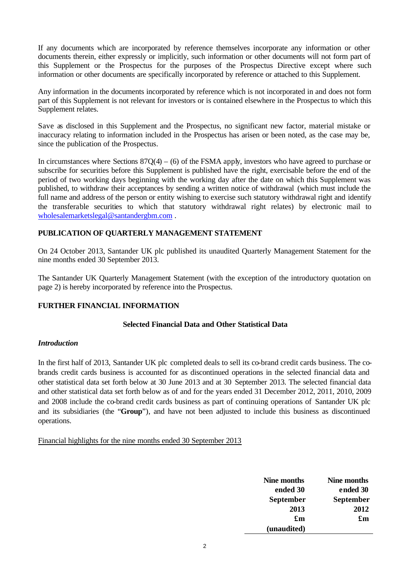If any documents which are incorporated by reference themselves incorporate any information or other documents therein, either expressly or implicitly, such information or other documents will not form part of this Supplement or the Prospectus for the purposes of the Prospectus Directive except where such information or other documents are specifically incorporated by reference or attached to this Supplement.

Any information in the documents incorporated by reference which is not incorporated in and does not form part of this Supplement is not relevant for investors or is contained elsewhere in the Prospectus to which this Supplement relates.

Save as disclosed in this Supplement and the Prospectus, no significant new factor, material mistake or inaccuracy relating to information included in the Prospectus has arisen or been noted, as the case may be, since the publication of the Prospectus.

In circumstances where Sections  $87O(4) - (6)$  of the FSMA apply, investors who have agreed to purchase or subscribe for securities before this Supplement is published have the right, exercisable before the end of the period of two working days beginning with the working day after the date on which this Supplement was published, to withdraw their acceptances by sending a written notice of withdrawal (which must include the full name and address of the person or entity wishing to exercise such statutory withdrawal right and identify the transferable securities to which that statutory withdrawal right relates) by electronic mail to wholesalemarketslegal@santandergbm.com .

# **PUBLICATION OF QUARTERLY MANAGEMENT STATEMENT**

On 24 October 2013, Santander UK plc published its unaudited Quarterly Management Statement for the nine months ended 30 September 2013.

The Santander UK Quarterly Management Statement (with the exception of the introductory quotation on page 2) is hereby incorporated by reference into the Prospectus.

## **FURTHER FINANCIAL INFORMATION**

## **Selected Financial Data and Other Statistical Data**

#### *Introduction*

In the first half of 2013, Santander UK plc completed deals to sell its co-brand credit cards business. The cobrands credit cards business is accounted for as discontinued operations in the selected financial data and other statistical data set forth below at 30 June 2013 and at 30 September 2013. The selected financial data and other statistical data set forth below as of and for the years ended 31 December 2012, 2011, 2010, 2009 and 2008 include the co-brand credit cards business as part of continuing operations of Santander UK plc and its subsidiaries (the "**Group**"), and have not been adjusted to include this business as discontinued operations.

Financial highlights for the nine months ended 30 September 2013

| Nine months      | Nine months      |
|------------------|------------------|
| ended 30         | ended 30         |
| <b>September</b> | <b>September</b> |
| 2013             | 2012             |
| £m               | £m               |
| (unaudited)      |                  |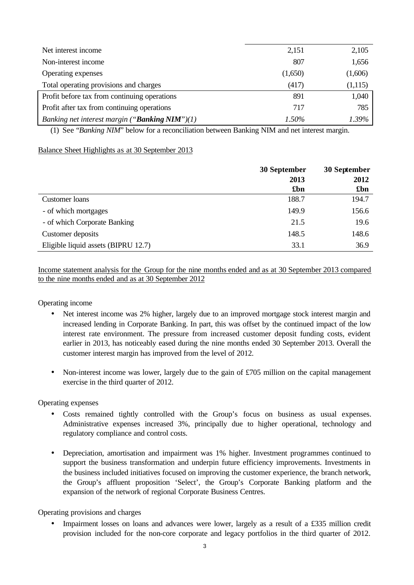| Net interest income                                        | 2,151   | 2,105    |
|------------------------------------------------------------|---------|----------|
| Non-interest income                                        | 807     | 1,656    |
| Operating expenses                                         | (1,650) | (1,606)  |
| Total operating provisions and charges                     | (417)   | (1,115)  |
| Profit before tax from continuing operations               | 891     | 1,040    |
| Profit after tax from continuing operations                | 717     | 785      |
| Banking net interest margin (" <b>Banking NIM</b> ") $(1)$ | 1.50%   | $1.39\%$ |

(1) See "*Banking NIM*" below for a reconciliation between Banking NIM and net interest margin.

## Balance Sheet Highlights as at 30 September 2013

|                                     | 30 September | 30 September |  |
|-------------------------------------|--------------|--------------|--|
|                                     | 2013         | 2012         |  |
|                                     | £bn          | £bn          |  |
| Customer loans                      | 188.7        | 194.7        |  |
| - of which mortgages                | 149.9        | 156.6        |  |
| - of which Corporate Banking        | 21.5         | 19.6         |  |
| Customer deposits                   | 148.5        | 148.6        |  |
| Eligible liquid assets (BIPRU 12.7) | 33.1         | 36.9         |  |

Income statement analysis for the Group for the nine months ended and as at 30 September 2013 compared to the nine months ended and as at 30 September 2012

Operating income

- Net interest income was 2% higher, largely due to an improved mortgage stock interest margin and increased lending in Corporate Banking. In part, this was offset by the continued impact of the low interest rate environment. The pressure from increased customer deposit funding costs, evident earlier in 2013, has noticeably eased during the nine months ended 30 September 2013. Overall the customer interest margin has improved from the level of 2012.
- Non-interest income was lower, largely due to the gain of  $\text{\pounds}705$  million on the capital management exercise in the third quarter of 2012.

## Operating expenses

- Costs remained tightly controlled with the Group's focus on business as usual expenses. Administrative expenses increased 3%, principally due to higher operational, technology and regulatory compliance and control costs.
- Depreciation, amortisation and impairment was 1% higher. Investment programmes continued to support the business transformation and underpin future efficiency improvements. Investments in the business included initiatives focused on improving the customer experience, the branch network, the Group's affluent proposition 'Select', the Group's Corporate Banking platform and the expansion of the network of regional Corporate Business Centres.

Operating provisions and charges

• Impairment losses on loans and advances were lower, largely as a result of a £335 million credit provision included for the non-core corporate and legacy portfolios in the third quarter of 2012.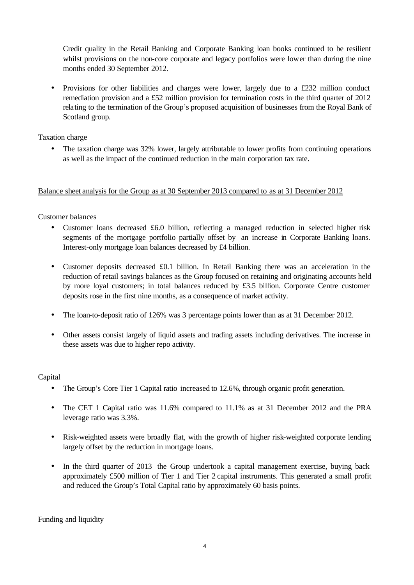Credit quality in the Retail Banking and Corporate Banking loan books continued to be resilient whilst provisions on the non-core corporate and legacy portfolios were lower than during the nine months ended 30 September 2012.

• Provisions for other liabilities and charges were lower, largely due to a £232 million conduct remediation provision and a £52 million provision for termination costs in the third quarter of 2012 relating to the termination of the Group's proposed acquisition of businesses from the Royal Bank of Scotland group.

Taxation charge

• The taxation charge was 32% lower, largely attributable to lower profits from continuing operations as well as the impact of the continued reduction in the main corporation tax rate.

# Balance sheet analysis for the Group as at 30 September 2013 compared to as at 31 December 2012

Customer balances

- Customer loans decreased £6.0 billion, reflecting a managed reduction in selected higher risk segments of the mortgage portfolio partially offset by an increase in Corporate Banking loans. Interest-only mortgage loan balances decreased by £4 billion.
- Customer deposits decreased £0.1 billion. In Retail Banking there was an acceleration in the reduction of retail savings balances as the Group focused on retaining and originating accounts held by more loyal customers; in total balances reduced by £3.5 billion. Corporate Centre customer deposits rose in the first nine months, as a consequence of market activity.
- The loan-to-deposit ratio of 126% was 3 percentage points lower than as at 31 December 2012.
- Other assets consist largely of liquid assets and trading assets including derivatives. The increase in these assets was due to higher repo activity.

## Capital

- The Group's Core Tier 1 Capital ratio increased to 12.6%, through organic profit generation.
- The CET 1 Capital ratio was 11.6% compared to 11.1% as at 31 December 2012 and the PRA leverage ratio was 3.3%.
- Risk-weighted assets were broadly flat, with the growth of higher risk-weighted corporate lending largely offset by the reduction in mortgage loans.
- In the third quarter of 2013 the Group undertook a capital management exercise, buying back approximately £500 million of Tier 1 and Tier 2 capital instruments. This generated a small profit and reduced the Group's Total Capital ratio by approximately 60 basis points.

Funding and liquidity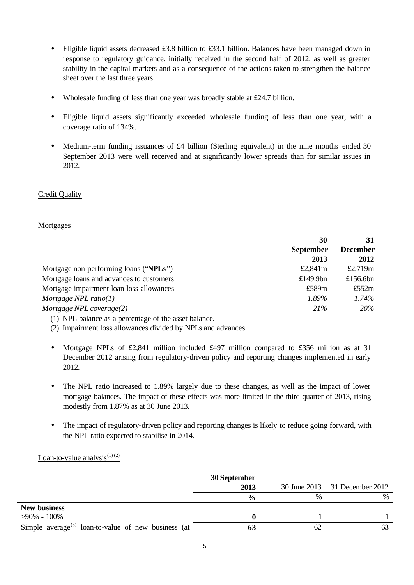- Eligible liquid assets decreased £3.8 billion to £33.1 billion. Balances have been managed down in response to regulatory guidance, initially received in the second half of 2012, as well as greater stability in the capital markets and as a consequence of the actions taken to strengthen the balance sheet over the last three years.
- Wholesale funding of less than one year was broadly stable at £24.7 billion.
- Eligible liquid assets significantly exceeded wholesale funding of less than one year, with a coverage ratio of 134%.
- Medium-term funding issuances of £4 billion (Sterling equivalent) in the nine months ended 30 September 2013 were well received and at significantly lower spreads than for similar issues in 2012.

# Credit Quality

# **Mortgages**

|                                          | 30               | 31              |
|------------------------------------------|------------------|-----------------|
|                                          | <b>September</b> | <b>December</b> |
|                                          | 2013             | 2012            |
| Mortgage non-performing loans ("NPLs")   | £2,841 $m$       | £2,719 $m$      |
| Mortgage loans and advances to customers | £149.9bn         | £156.6bn        |
| Mortgage impairment loan loss allowances | £589 $m$         | £552 $m$        |
| Mortgage NPL ratio(1)                    | 1.89%            | $1.74\%$        |
| Mortgage NPL coverage(2)                 | 21%              | <b>20%</b>      |

(1) NPL balance as a percentage of the asset balance.

(2) Impairment loss allowances divided by NPLs and advances.

- Mortgage NPLs of £2,841 million included £497 million compared to £356 million as at 31 December 2012 arising from regulatory-driven policy and reporting changes implemented in early 2012.
- The NPL ratio increased to 1.89% largely due to these changes, as well as the impact of lower mortgage balances. The impact of these effects was more limited in the third quarter of 2013, rising modestly from 1.87% as at 30 June 2013.
- The impact of regulatory-driven policy and reporting changes is likely to reduce going forward, with the NPL ratio expected to stabilise in 2014.

Loan-to-value analysis $(1)(2)$ 

|                                                                 | 30 September  |      |                               |
|-----------------------------------------------------------------|---------------|------|-------------------------------|
|                                                                 | 2013          |      | 30 June 2013 31 December 2012 |
|                                                                 | $\frac{6}{9}$ | $\%$ | $\frac{0}{0}$                 |
| <b>New business</b>                                             |               |      |                               |
| $>90\%$ - 100%                                                  |               |      |                               |
| Simple average <sup>(3)</sup> loan-to-value of new business (at |               | 62   |                               |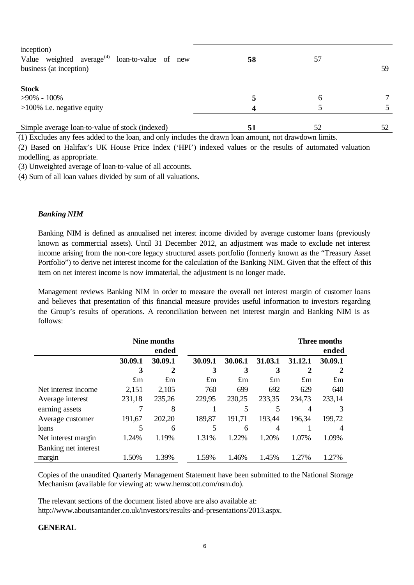| inception)<br>Value weighted average <sup><math>(4)</math></sup> loan-to-value of new<br>business (at inception) | 58 | 57 | 59 |
|------------------------------------------------------------------------------------------------------------------|----|----|----|
| <b>Stock</b><br>$>90\% - 100\%$<br>$>100\%$ i.e. negative equity                                                 |    | 6  |    |
| Simple average loan-to-value of stock (indexed)                                                                  | 51 | 52 | 52 |

(1) Excludes any fees added to the loan, and only includes the drawn loan amount, not drawdown limits.

(2) Based on Halifax's UK House Price Index ('HPI') indexed values or the results of automated valuation modelling, as appropriate.

(3) Unweighted average of loan-to-value of all accounts.

(4) Sum of all loan values divided by sum of all valuations.

### *Banking NIM*

Banking NIM is defined as annualised net interest income divided by average customer loans (previously known as commercial assets). Until 31 December 2012, an adjustment was made to exclude net interest income arising from the non-core legacy structured assets portfolio (formerly known as the "Treasury Asset Portfolio") to derive net interest income for the calculation of the Banking NIM. Given that the effect of this item on net interest income is now immaterial, the adjustment is no longer made.

Management reviews Banking NIM in order to measure the overall net interest margin of customer loans and believes that presentation of this financial measure provides useful information to investors regarding the Group's results of operations. A reconciliation between net interest margin and Banking NIM is as follows:

|                      | Nine months |             |             |             |             |             |             | Three months |  |
|----------------------|-------------|-------------|-------------|-------------|-------------|-------------|-------------|--------------|--|
|                      |             | ended       |             |             |             |             | ended       |              |  |
|                      | 30.09.1     | 30.09.1     | 30.09.1     | 30.06.1     | 31.03.1     | 31.12.1     | 30.09.1     |              |  |
|                      |             | 2           | 3           | 3           | 3           | 2           |             |              |  |
|                      | $\pounds$ m | $\pounds$ m | $\pounds$ m | $\pounds$ m | $\pounds$ m | $\pounds$ m | $\pounds$ m |              |  |
| Net interest income  | 2,151       | 2,105       | 760         | 699         | 692         | 629         | 640         |              |  |
| Average interest     | 231,18      | 235,26      | 229,95      | 230,25      | 233,35      | 234,73      | 233,14      |              |  |
| earning assets       |             | 8           |             | 5           |             | 4           | 3           |              |  |
| Average customer     | 191,67      | 202,20      | 189,87      | 191,71      | 193,44      | 196,34      | 199,72      |              |  |
| loans                |             | 6           | 5           | 6           | 4           |             | 4           |              |  |
| Net interest margin  | 1.24%       | 1.19%       | 1.31%       | 1.22%       | 1.20%       | 1.07%       | 1.09%       |              |  |
| Banking net interest |             |             |             |             |             |             |             |              |  |
| margin               | 1.50%       | 1.39%       | 1.59%       | 1.46%       | 1.45%       | 1.27%       | 1.27%       |              |  |

Copies of the unaudited Quarterly Management Statement have been submitted to the National Storage Mechanism (available for viewing at: www.hemscott.com/nsm.do).

The relevant sections of the document listed above are also available at: http://www.aboutsantander.co.uk/investors/results-and-presentations/2013.aspx.

### **GENERAL**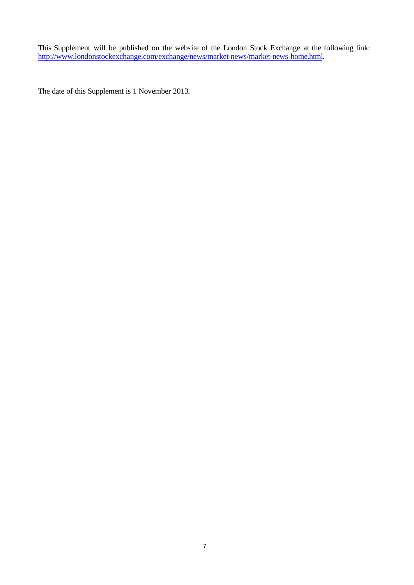This Supplement will be published on the website of the London Stock Exchange at the following link: http://www.londonstockexchange.com/exchange/news/market-news/market-news-home.html.

The date of this Supplement is 1 November 2013.